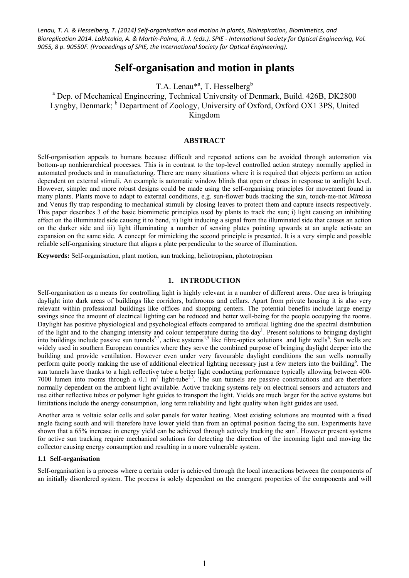# **Self-organisation and motion in plants**

T.A. Lenau<sup>\*a</sup>, T. Hesselberg<sup>b</sup>

<sup>a</sup> Dep. of Mechanical Engineering, Technical University of Denmark, Build. 426B, DK2800 Lyngby, Denmark; <sup>b</sup> Department of Zoology, University of Oxford, Oxford OX1 3PS, United Kingdom

# **ABSTRACT**

Self-organisation appeals to humans because difficult and repeated actions can be avoided through automation via bottom-up nonhierarchical processes. This is in contrast to the top-level controlled action strategy normally applied in automated products and in manufacturing. There are many situations where it is required that objects perform an action dependent on external stimuli. An example is automatic window blinds that open or closes in response to sunlight level. However, simpler and more robust designs could be made using the self-organising principles for movement found in many plants. Plants move to adapt to external conditions, e.g. sun-flower buds tracking the sun, touch-me-not *Mimosa*  and Venus fly trap responding to mechanical stimuli by closing leaves to protect them and capture insects respectively. This paper describes 3 of the basic biomimetic principles used by plants to track the sun; i) light causing an inhibiting effect on the illuminated side causing it to bend, ii) light inducing a signal from the illuminated side that causes an action on the darker side and iii) light illuminating a number of sensing plates pointing upwards at an angle activate an expansion on the same side. A concept for mimicking the second principle is presented. It is a very simple and possible reliable self-organising structure that aligns a plate perpendicular to the source of illumination.

**Keywords:** Self-organisation, plant motion, sun tracking, heliotropism, phototropism

# **1. INTRODUCTION**

Self-organisation as a means for controlling light is highly relevant in a number of different areas. One area is bringing daylight into dark areas of buildings like corridors, bathrooms and cellars. Apart from private housing it is also very relevant within professional buildings like offices and shopping centers. The potential benefits include large energy savings since the amount of electrical lighting can be reduced and better well-being for the people occupying the rooms. Daylight has positive physiological and psychological effects compared to artificial lighting due the spectral distribution of the light and to the changing intensity and colour temperature during the day<sup>1</sup>. Present solutions to bringing daylight into buildings include passive sun tunnels<sup>2,3</sup>, active systems<sup>4,5</sup> like fibre-optics solutions and light wells<sup>6</sup>. Sun wells are widely used in southern European countries where they serve the combined purpose of bringing daylight deeper into the building and provide ventilation. However even under very favourable daylight conditions the sun wells normally perform quite poorly making the use of additional electrical lighting necessary just a few meters into the building<sup>6</sup>. The sun tunnels have thanks to a high reflective tube a better light conducting performance typically allowing between 400- 7000 lumen into rooms through a  $0.1 \text{ m}^2$  light-tube<sup>2,3</sup>. The sun tunnels are passive constructions and are therefore normally dependent on the ambient light available. Active tracking systems rely on electrical sensors and actuators and use either reflective tubes or polymer light guides to transport the light. Yields are much larger for the active systems but limitations include the energy consumption, long term reliability and light quality when light guides are used.

Another area is voltaic solar cells and solar panels for water heating. Most existing solutions are mounted with a fixed angle facing south and will therefore have lower yield than from an optimal position facing the sun. Experiments have shown that a  $65\%$  increase in energy yield can be achieved through actively tracking the sun<sup>7</sup>. However present systems for active sun tracking require mechanical solutions for detecting the direction of the incoming light and moving the collector causing energy consumption and resulting in a more vulnerable system.

#### **1.1 Self-organisation**

Self-organisation is a process where a certain order is achieved through the local interactions between the components of an initially disordered system. The process is solely dependent on the emergent properties of the components and will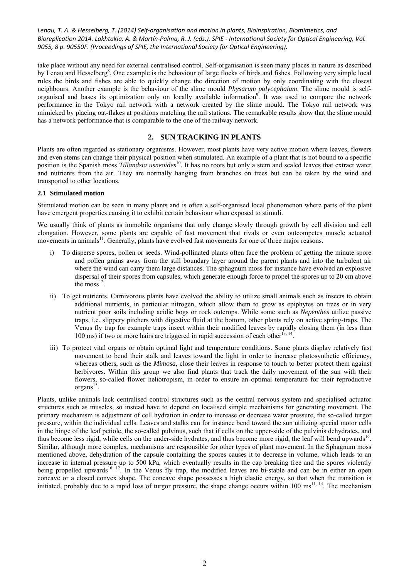take place without any need for external centralised control. Self-organisation is seen many places in nature as described by Lenau and Hesselberg<sup>8</sup>. One example is the behaviour of large flocks of birds and fishes. Following very simple local rules the birds and fishes are able to quickly change the direction of motion by only coordinating with the closest neighbours. Another example is the behaviour of the slime mould *Physarum polycephalum*. The slime mould is selforganised and bases its optimization only on locally available information<sup>9</sup>. It was used to compare the network performance in the Tokyo rail network with a network created by the slime mould. The Tokyo rail network was mimicked by placing oat-flakes at positions matching the rail stations. The remarkable results show that the slime mould has a network performance that is comparable to the one of the railway network.

# **2. SUN TRACKING IN PLANTS**

Plants are often regarded as stationary organisms. However, most plants have very active motion where leaves, flowers and even stems can change their physical position when stimulated. An example of a plant that is not bound to a specific position is the Spanish moss *Tillandsia usneoides*10. It has no roots but only a stem and scaled leaves that extract water and nutrients from the air. They are normally hanging from branches on trees but can be taken by the wind and transported to other locations.

# **2.1 Stimulated motion**

Stimulated motion can be seen in many plants and is often a self-organised local phenomenon where parts of the plant have emergent properties causing it to exhibit certain behaviour when exposed to stimuli.

We usually think of plants as immobile organisms that only change slowly through growth by cell division and cell elongation. However, some plants are capable of fast movement that rivals or even outcompetes muscle actuated movements in animals<sup>11</sup>. Generally, plants have evolved fast movements for one of three major reasons.

- i) To disperse spores, pollen or seeds. Wind-pollinated plants often face the problem of getting the minute spore and pollen grains away from the still boundary layer around the parent plants and into the turbulent air where the wind can carry them large distances. The sphagnum moss for instance have evolved an explosive dispersal of their spores from capsules, which generate enough force to propel the spores up to 20 cm above the  $moss<sup>12</sup>$ .
- ii) To get nutrients. Carnivorous plants have evolved the ability to utilize small animals such as insects to obtain additional nutrients, in particular nitrogen, which allow them to grow as epiphytes on trees or in very nutrient poor soils including acidic bogs or rock outcrops. While some such as *Nepenthes* utilize passive traps, i.e. slippery pitchers with digestive fluid at the bottom, other plants rely on active spring-traps. The Venus fly trap for example traps insect within their modified leaves by rapidly closing them (in less than 100 ms) if two or more hairs are triggered in rapid succession of each other<sup>13, 14</sup>
- iii) To protect vital organs or obtain optimal light and temperature conditions. Some plants display relatively fast movement to bend their stalk and leaves toward the light in order to increase photosynthetic efficiency, whereas others, such as the *Mimosa*, close their leaves in response to touch to better protect them against herbivores. Within this group we also find plants that track the daily movement of the sun with their flowers, so-called flower heliotropism, in order to ensure an optimal temperature for their reproductive organs $^{15}$ .

Plants, unlike animals lack centralised control structures such as the central nervous system and specialised actuator structures such as muscles, so instead have to depend on localised simple mechanisms for generating movement. The primary mechanism is adjustment of cell hydration in order to increase or decrease water pressure, the so-called turgor pressure, within the individual cells. Leaves and stalks can for instance bend toward the sun utilizing special motor cells in the hinge of the leaf petiole, the so-called pulvinus, such that if cells on the upper-side of the pulvinis dehydrates, and thus become less rigid, while cells on the under-side hydrates, and thus become more rigid, the leaf will bend upwards<sup>16</sup>. Similar, although more complex, mechanisms are responsible for other types of plant movement. In the Sphagnum moss mentioned above, dehydration of the capsule containing the spores causes it to decrease in volume, which leads to an increase in internal pressure up to 500 kPa, which eventually results in the cap breaking free and the spores violently being propelled upwards<sup>16, 12</sup>. In the Venus fly trap, the modified leaves are bi-stable and can be in either an open concave or a closed convex shape. The concave shape possesses a high elastic energy, so that when the transition is initiated, probably due to a rapid loss of turgor pressure, the shape change occurs within 100 ms<sup>11, 14</sup>. The mechanism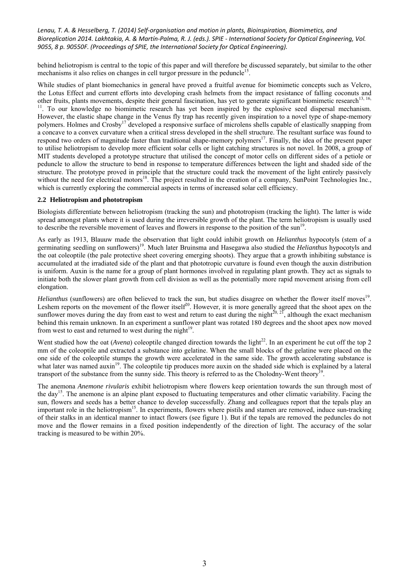behind heliotropism is central to the topic of this paper and will therefore be discussed separately, but similar to the other mechanisms it also relies on changes in cell turgor pressure in the peduncle<sup>15</sup>.

While studies of plant biomechanics in general have proved a fruitful avenue for biomimetic concepts such as Velcro, the Lotus Effect and current efforts into developing crash helmets from the impact resistance of falling coconuts and other fruits, plants movements, despite their general fascination, has yet to generate significant biomimetic research<sup>13, 16,</sup> <sup>11</sup>. To our knowledge no biomimetic research has yet been inspired by the explosive seed dispersal mechanism. However, the elastic shape change in the Venus fly trap has recently given inspiration to a novel type of shape-memory polymers. Holmes and Crosby<sup>17</sup> developed a responsive surface of microlens shells capable of elastically snapping from a concave to a convex curvature when a critical stress developed in the shell structure. The resultant surface was found to respond two orders of magnitude faster than traditional shape-memory polymers<sup>17</sup>. Finally, the idea of the present paper to utilise heliotropism to develop more efficient solar cells or light catching structures is not novel. In 2008, a group of MIT students developed a prototype structure that utilised the concept of motor cells on different sides of a petiole or peduncle to allow the structure to bend in response to temperature differences between the light and shaded side of the structure. The prototype proved in principle that the structure could track the movement of the light entirely passively without the need for electrical motors<sup>18</sup>. The project resulted in the creation of a company, SunPoint Technologies Inc., which is currently exploring the commercial aspects in terms of increased solar cell efficiency.

# **2.2 Heliotropism and phototropism**

Biologists differentiate between heliotropism (tracking the sun) and phototropism (tracking the light). The latter is wide spread amongst plants where it is used during the irreversible growth of the plant. The term heliotropism is usually used to describe the reversible movement of leaves and flowers in response to the position of the sun<sup>19</sup>.

As early as 1913, Blauuw made the observation that light could inhibit growth on *Helianthus* hypocotyls (stem of a germinating seedling on sunflowers)19. Much later Bruinsma and Hasegawa also studied the *Helianthus* hypocotyls and the oat coleoptile (the pale protective sheet covering emerging shoots). They argue that a growth inhibiting substance is accumulated at the irradiated side of the plant and that phototropic curvature is found even though the auxin distribution is uniform. Auxin is the name for a group of plant hormones involved in regulating plant growth. They act as signals to initiate both the slower plant growth from cell division as well as the potentially more rapid movement arising from cell elongation.

*Helianthus* (sunflowers) are often believed to track the sun, but studies disagree on whether the flower itself moves<sup>19</sup>. Leshem reports on the movement of the flower itself $2^0$ . However, it is more generally agreed that the shoot apex on the sunflower moves during the day from east to west and return to east during the night<sup>20, 21</sup>, although the exact mechanism behind this remain unknown. In an experiment a sunflower plant was rotated 180 degrees and the shoot apex now moved from west to east and returned to west during the night $19$ .

Went studied how the oat (*Avena*) coleoptile changed direction towards the light<sup>22</sup>. In an experiment he cut off the top 2 mm of the coleoptile and extracted a substance into gelatine. When the small blocks of the gelatine were placed on the one side of the coleoptile stumps the growth were accelerated in the same side. The growth accelerating substance is what later was named auxin<sup>19</sup>. The coleoptile tip produces more auxin on the shaded side which is explained by a lateral transport of the substance from the sunny side. This theory is referred to as the Cholodny-Went theory<sup>1</sup>

The anemona *Anemone rivularis* exhibit heliotropism where flowers keep orientation towards the sun through most of the day<sup>15</sup>. The anemone is an alpine plant exposed to fluctuating temperatures and other climatic variability. Facing the sun, flowers and seeds has a better chance to develop successfully. Zhang and colleagues report that the tepals play an important role in the heliotropism<sup>15</sup>. In experiments, flowers where pistils and stamen are removed, induce sun-tracking of their stalks in an identical manner to intact flowers (see figure 1). But if the tepals are removed the peduncles do not move and the flower remains in a fixed position independently of the direction of light. The accuracy of the solar tracking is measured to be within 20%.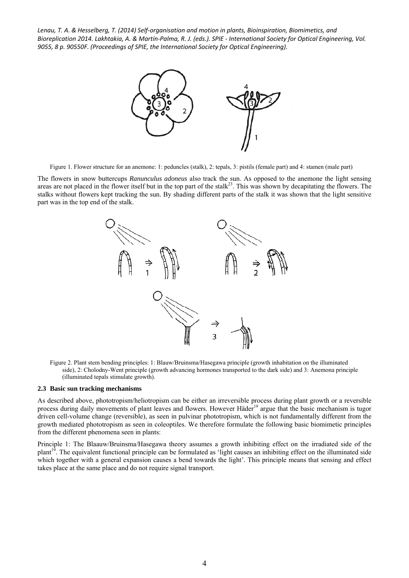

Figure 1. Flower structure for an anemone: 1: peduncles (stalk), 2: tepals, 3: pistils (female part) and 4: stamen (male part)

The flowers in snow buttercups *Ranunculus adoneus* also track the sun. As opposed to the anemone the light sensing areas are not placed in the flower itself but in the top part of the stalk<sup>23</sup>. This was shown by decapitating the flowers. The stalks without flowers kept tracking the sun. By shading different parts of the stalk it was shown that the light sensitive part was in the top end of the stalk.



Figure 2. Plant stem bending principles: 1: Blauw/Bruinsma/Hasegawa principle (growth inhabitation on the illuminated side), 2: Cholodny-Went principle (growth advancing hormones transported to the dark side) and 3: Anemona principle (illuminated tepals stimulate growth).

#### **2.3 Basic sun tracking mechanisms**

As described above, phototropism/heliotropism can be either an irreversible process during plant growth or a reversible process during daily movements of plant leaves and flowers. However Häder<sup>19</sup> argue that the basic mechanism is tugor driven cell-volume change (reversible), as seen in pulvinar phototropism, which is not fundamentally different from the growth mediated phototropism as seen in coleoptiles. We therefore formulate the following basic biomimetic principles from the different phenomena seen in plants:

Principle 1: The Blaauw/Bruinsma/Hasegawa theory assumes a growth inhibiting effect on the irradiated side of the plant19. The equivalent functional principle can be formulated as 'light causes an inhibiting effect on the illuminated side which together with a general expansion causes a bend towards the light'. This principle means that sensing and effect takes place at the same place and do not require signal transport.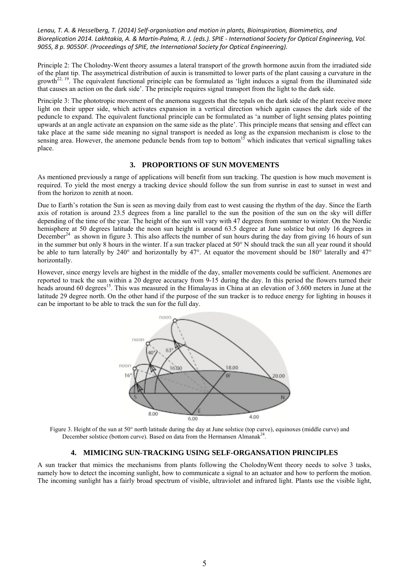Principle 2: The Cholodny-Went theory assumes a lateral transport of the growth hormone auxin from the irradiated side of the plant tip. The assymetrical distribution of auxin is transmitted to lower parts of the plant causing a curvature in the growth<sup> $^{22, 19}$ </sup>. The equivalent functional principle can be formulated as 'light induces a signal from the illuminated side that causes an action on the dark side'. The principle requires signal transport from the light to the dark side.

Principle 3: The phototropic movement of the anemona suggests that the tepals on the dark side of the plant receive more light on their upper side, which activates expansion in a vertical direction which again causes the dark side of the peduncle to expand. The equivalent functional principle can be formulated as 'a number of light sensing plates pointing upwards at an angle activate an expansion on the same side as the plate'. This principle means that sensing and effect can take place at the same side meaning no signal transport is needed as long as the expansion mechanism is close to the sensing area. However, the anemone peduncle bends from top to bottom<sup>15</sup> which indicates that vertical signalling takes place.

# **3. PROPORTIONS OF SUN MOVEMENTS**

As mentioned previously a range of applications will benefit from sun tracking. The question is how much movement is required. To yield the most energy a tracking device should follow the sun from sunrise in east to sunset in west and from the horizon to zenith at noon.

Due to Earth's rotation the Sun is seen as moving daily from east to west causing the rhythm of the day. Since the Earth axis of rotation is around 23.5 degrees from a line parallel to the sun the position of the sun on the sky will differ depending of the time of the year. The height of the sun will vary with 47 degrees from summer to winter. On the Nordic hemisphere at 50 degrees latitude the noon sun height is around 63.5 degree at June solstice but only 16 degrees in December<sup>24</sup> as shown in figure 3. This also affects the number of sun hours during the day from giving 16 hours of sun in the summer but only 8 hours in the winter. If a sun tracker placed at 50° N should track the sun all year round it should be able to turn laterally by 240° and horizontally by 47°. At equator the movement should be 180° laterally and 47° horizontally.

However, since energy levels are highest in the middle of the day, smaller movements could be sufficient. Anemones are reported to track the sun within a 20 degree accuracy from 9-15 during the day. In this period the flowers turned their heads around 60 degrees<sup>15</sup>. This was measured in the Himalayas in China at an elevation of 3.600 meters in June at the latitude 29 degree north. On the other hand if the purpose of the sun tracker is to reduce energy for lighting in houses it can be important to be able to track the sun for the full day.



Figure 3. Height of the sun at 50° north latitude during the day at June solstice (top curve), equinoxes (middle curve) and December solstice (bottom curve). Based on data from the Hermansen Almanak<sup>24</sup>.

# **4. MIMICING SUN-TRACKING USING SELF-ORGANSATION PRINCIPLES**

A sun tracker that mimics the mechanisms from plants following the CholodnyWent theory needs to solve 3 tasks, namely how to detect the incoming sunlight, how to communicate a signal to an actuator and how to perform the motion. The incoming sunlight has a fairly broad spectrum of visible, ultraviolet and infrared light. Plants use the visible light,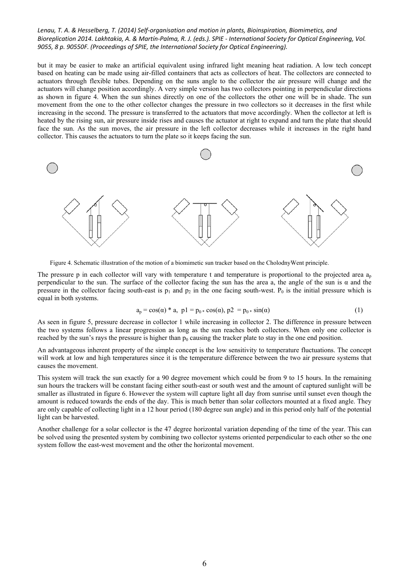but it may be easier to make an artificial equivalent using infrared light meaning heat radiation. A low tech concept based on heating can be made using air-filled containers that acts as collectors of heat. The collectors are connected to actuators through flexible tubes. Depending on the suns angle to the collector the air pressure will change and the actuators will change position accordingly. A very simple version has two collectors pointing in perpendicular directions as shown in figure 4. When the sun shines directly on one of the collectors the other one will be in shade. The sun movement from the one to the other collector changes the pressure in two collectors so it decreases in the first while increasing in the second. The pressure is transferred to the actuators that move accordingly. When the collector at left is heated by the rising sun, air pressure inside rises and causes the actuator at right to expand and turn the plate that should face the sun. As the sun moves, the air pressure in the left collector decreases while it increases in the right hand collector. This causes the actuators to turn the plate so it keeps facing the sun.



Figure 4. Schematic illustration of the motion of a biomimetic sun tracker based on the CholodnyWent principle.

The pressure p in each collector will vary with temperature t and temperature is proportional to the projected area  $a_p$ perpendicular to the sun. The surface of the collector facing the sun has the area a, the angle of the sun is  $\alpha$  and the pressure in the collector facing south-east is  $p_1$  and  $p_2$  in the one facing south-west.  $P_0$  is the initial pressure which is equal in both systems.

$$
a_p = \cos(\alpha) * a, \ p1 = p_0 * \cos(\alpha), \ p2 = p_0 * \sin(\alpha) \tag{1}
$$

As seen in figure 5, pressure decrease in collector 1 while increasing in collector 2. The difference in pressure between the two systems follows a linear progression as long as the sun reaches both collectors. When only one collector is reached by the sun's rays the pressure is higher than  $p_0$  causing the tracker plate to stay in the one end position.

An advantageous inherent property of the simple concept is the low sensitivity to temperature fluctuations. The concept will work at low and high temperatures since it is the temperature difference between the two air pressure systems that causes the movement.

This system will track the sun exactly for a 90 degree movement which could be from 9 to 15 hours. In the remaining sun hours the trackers will be constant facing either south-east or south west and the amount of captured sunlight will be smaller as illustrated in figure 6. However the system will capture light all day from sunrise until sunset even though the amount is reduced towards the ends of the day. This is much better than solar collectors mounted at a fixed angle. They are only capable of collecting light in a 12 hour period (180 degree sun angle) and in this period only half of the potential light can be harvested.

Another challenge for a solar collector is the 47 degree horizontal variation depending of the time of the year. This can be solved using the presented system by combining two collector systems oriented perpendicular to each other so the one system follow the east-west movement and the other the horizontal movement.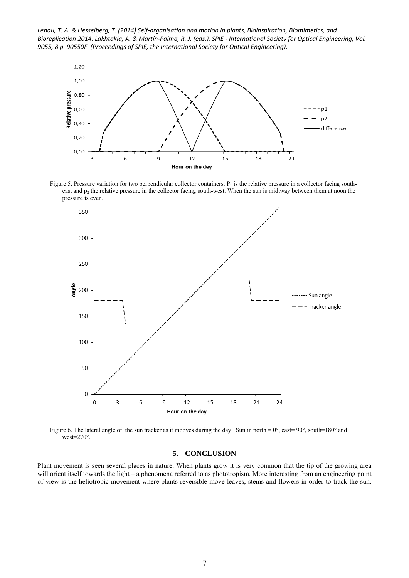Lenau, T. A. & Hesselberg, T. (2014) Self-organisation and motion in plants, Bioinspiration, Biomimetics, and Bioreplication 2014. Lakhtakia, A. & Martín-Palma, R. J. (eds.). SPIE - International Society for Optical Engineering, Vol. *9055, 8 p. 90550F. (Proceedings of SPIE, the International Society for Optical Engineering).*



Figure 5. Pressure variation for two perpendicular collector containers.  $P_1$  is the relative pressure in a collector facing southeast and  $p_2$  the relative pressure in the collector facing south-west. When the sun is midtway between them at noon the pressure is even.



Figure 6. The lateral angle of the sun tracker as it mooves during the day. Sun in north =  $0^{\circ}$ , east= $90^{\circ}$ , south=180° and west=270°.

### **5. CONCLUSION**

Plant movement is seen several places in nature. When plants grow it is very common that the tip of the growing area will orient itself towards the light – a phenomena referred to as phototropism. More interesting from an engineering point of view is the heliotropic movement where plants reversible move leaves, stems and flowers in order to track the sun.